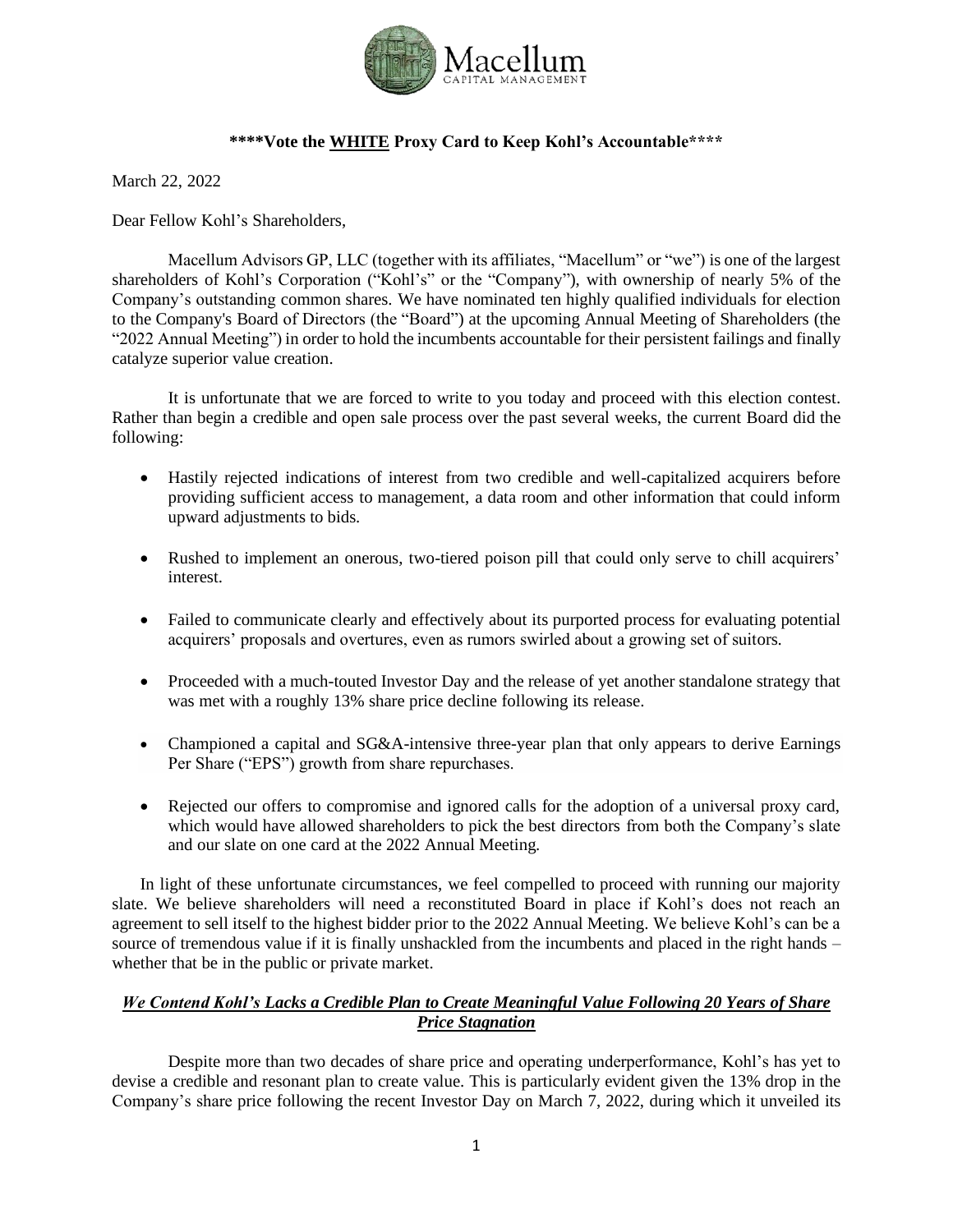

# **\*\*\*\*Vote the WHITE Proxy Card to Keep Kohl's Accountable\*\*\*\***

March 22, 2022

Dear Fellow Kohl's Shareholders,

Macellum Advisors GP, LLC (together with its affiliates, "Macellum" or "we") is one of the largest shareholders of Kohl's Corporation ("Kohl's" or the "Company"), with ownership of nearly 5% of the Company's outstanding common shares. We have nominated ten highly qualified individuals for election to the Company's Board of Directors (the "Board") at the upcoming Annual Meeting of Shareholders (the "2022 Annual Meeting") in order to hold the incumbents accountable for their persistent failings and finally catalyze superior value creation.

It is unfortunate that we are forced to write to you today and proceed with this election contest. Rather than begin a credible and open sale process over the past several weeks, the current Board did the following:

- Hastily rejected indications of interest from two credible and well-capitalized acquirers before providing sufficient access to management, a data room and other information that could inform upward adjustments to bids.
- Rushed to implement an onerous, two-tiered poison pill that could only serve to chill acquirers' interest.
- Failed to communicate clearly and effectively about its purported process for evaluating potential acquirers' proposals and overtures, even as rumors swirled about a growing set of suitors.
- Proceeded with a much-touted Investor Day and the release of yet another standalone strategy that was met with a roughly 13% share price decline following its release.
- Championed a capital and SG&A-intensive three-year plan that only appears to derive Earnings Per Share ("EPS") growth from share repurchases.
- Rejected our offers to compromise and ignored calls for the adoption of a universal proxy card, which would have allowed shareholders to pick the best directors from both the Company's slate and our slate on one card at the 2022 Annual Meeting.

In light of these unfortunate circumstances, we feel compelled to proceed with running our majority slate. We believe shareholders will need a reconstituted Board in place if Kohl's does not reach an agreement to sell itself to the highest bidder prior to the 2022 Annual Meeting. We believe Kohl's can be a source of tremendous value if it is finally unshackled from the incumbents and placed in the right hands – whether that be in the public or private market.

# *We Contend Kohl's Lacks a Credible Plan to Create Meaningful Value Following 20 Years of Share Price Stagnation*

Despite more than two decades of share price and operating underperformance, Kohl's has yet to devise a credible and resonant plan to create value. This is particularly evident given the 13% drop in the Company's share price following the recent Investor Day on March 7, 2022, during which it unveiled its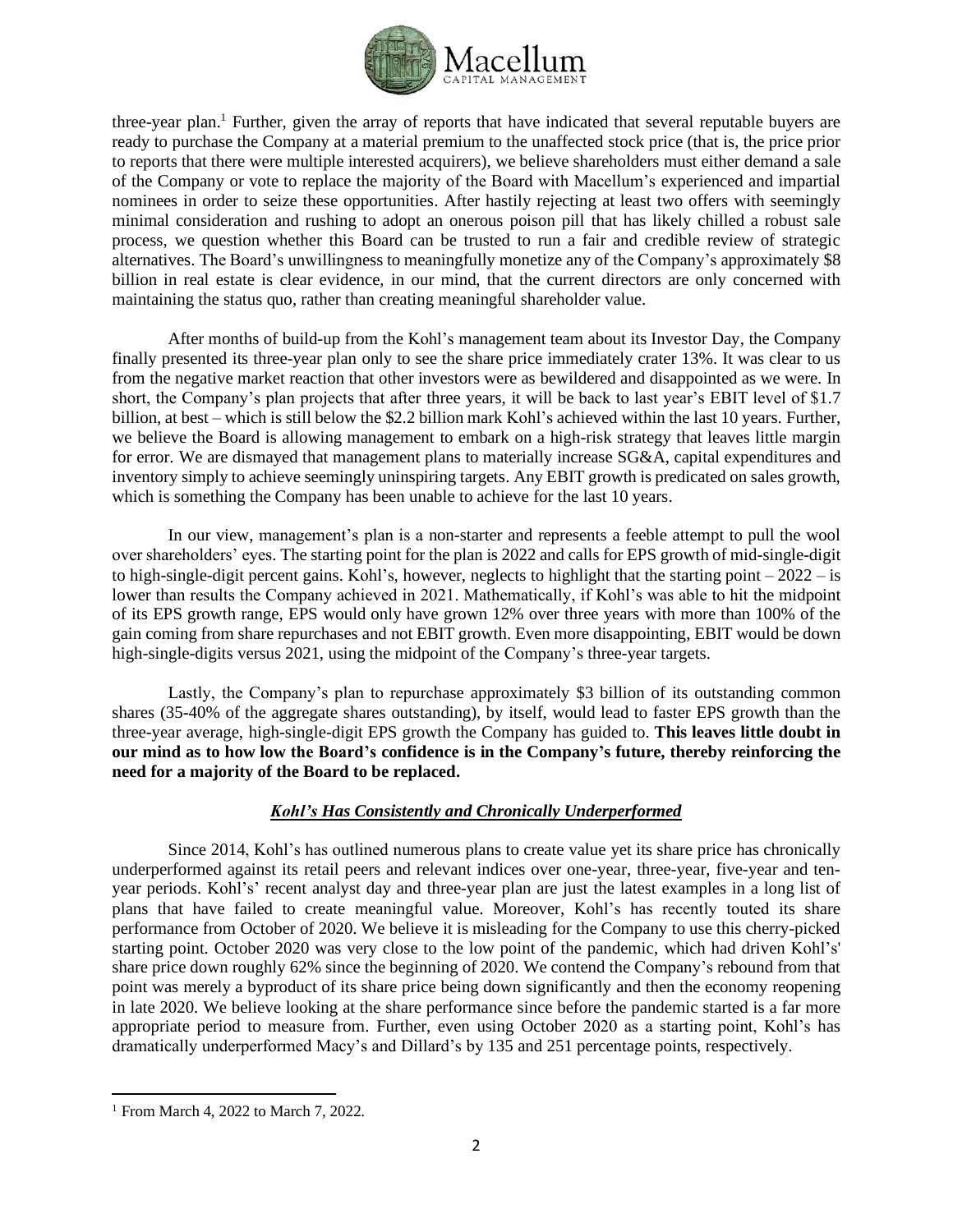

three-year plan.<sup>1</sup> Further, given the array of reports that have indicated that several reputable buyers are ready to purchase the Company at a material premium to the unaffected stock price (that is, the price prior to reports that there were multiple interested acquirers), we believe shareholders must either demand a sale of the Company or vote to replace the majority of the Board with Macellum's experienced and impartial nominees in order to seize these opportunities. After hastily rejecting at least two offers with seemingly minimal consideration and rushing to adopt an onerous poison pill that has likely chilled a robust sale process, we question whether this Board can be trusted to run a fair and credible review of strategic alternatives. The Board's unwillingness to meaningfully monetize any of the Company's approximately \$8 billion in real estate is clear evidence, in our mind, that the current directors are only concerned with maintaining the status quo, rather than creating meaningful shareholder value.

After months of build-up from the Kohl's management team about its Investor Day, the Company finally presented its three-year plan only to see the share price immediately crater 13%. It was clear to us from the negative market reaction that other investors were as bewildered and disappointed as we were. In short, the Company's plan projects that after three years, it will be back to last year's EBIT level of \$1.7 billion, at best – which is still below the \$2.2 billion mark Kohl's achieved within the last 10 years. Further, we believe the Board is allowing management to embark on a high-risk strategy that leaves little margin for error. We are dismayed that management plans to materially increase SG&A, capital expenditures and inventory simply to achieve seemingly uninspiring targets. Any EBIT growth is predicated on sales growth, which is something the Company has been unable to achieve for the last 10 years.

In our view, management's plan is a non-starter and represents a feeble attempt to pull the wool over shareholders' eyes. The starting point for the plan is 2022 and calls for EPS growth of mid-single-digit to high-single-digit percent gains. Kohl's, however, neglects to highlight that the starting point  $-2022 - is$ lower than results the Company achieved in 2021. Mathematically, if Kohl's was able to hit the midpoint of its EPS growth range, EPS would only have grown 12% over three years with more than 100% of the gain coming from share repurchases and not EBIT growth. Even more disappointing, EBIT would be down high-single-digits versus 2021, using the midpoint of the Company's three-year targets.

Lastly, the Company's plan to repurchase approximately \$3 billion of its outstanding common shares (35-40% of the aggregate shares outstanding), by itself, would lead to faster EPS growth than the three-year average, high-single-digit EPS growth the Company has guided to. **This leaves little doubt in our mind as to how low the Board's confidence is in the Company's future, thereby reinforcing the need for a majority of the Board to be replaced.**

#### *Kohl's Has Consistently and Chronically Underperformed*

Since 2014, Kohl's has outlined numerous plans to create value yet its share price has chronically underperformed against its retail peers and relevant indices over one-year, three-year, five-year and tenyear periods. Kohl's' recent analyst day and three-year plan are just the latest examples in a long list of plans that have failed to create meaningful value. Moreover, Kohl's has recently touted its share performance from October of 2020. We believe it is misleading for the Company to use this cherry-picked starting point. October 2020 was very close to the low point of the pandemic, which had driven Kohl's' share price down roughly 62% since the beginning of 2020. We contend the Company's rebound from that point was merely a byproduct of its share price being down significantly and then the economy reopening in late 2020. We believe looking at the share performance since before the pandemic started is a far more appropriate period to measure from. Further, even using October 2020 as a starting point, Kohl's has dramatically underperformed Macy's and Dillard's by 135 and 251 percentage points, respectively.

<sup>1</sup> From March 4, 2022 to March 7, 2022.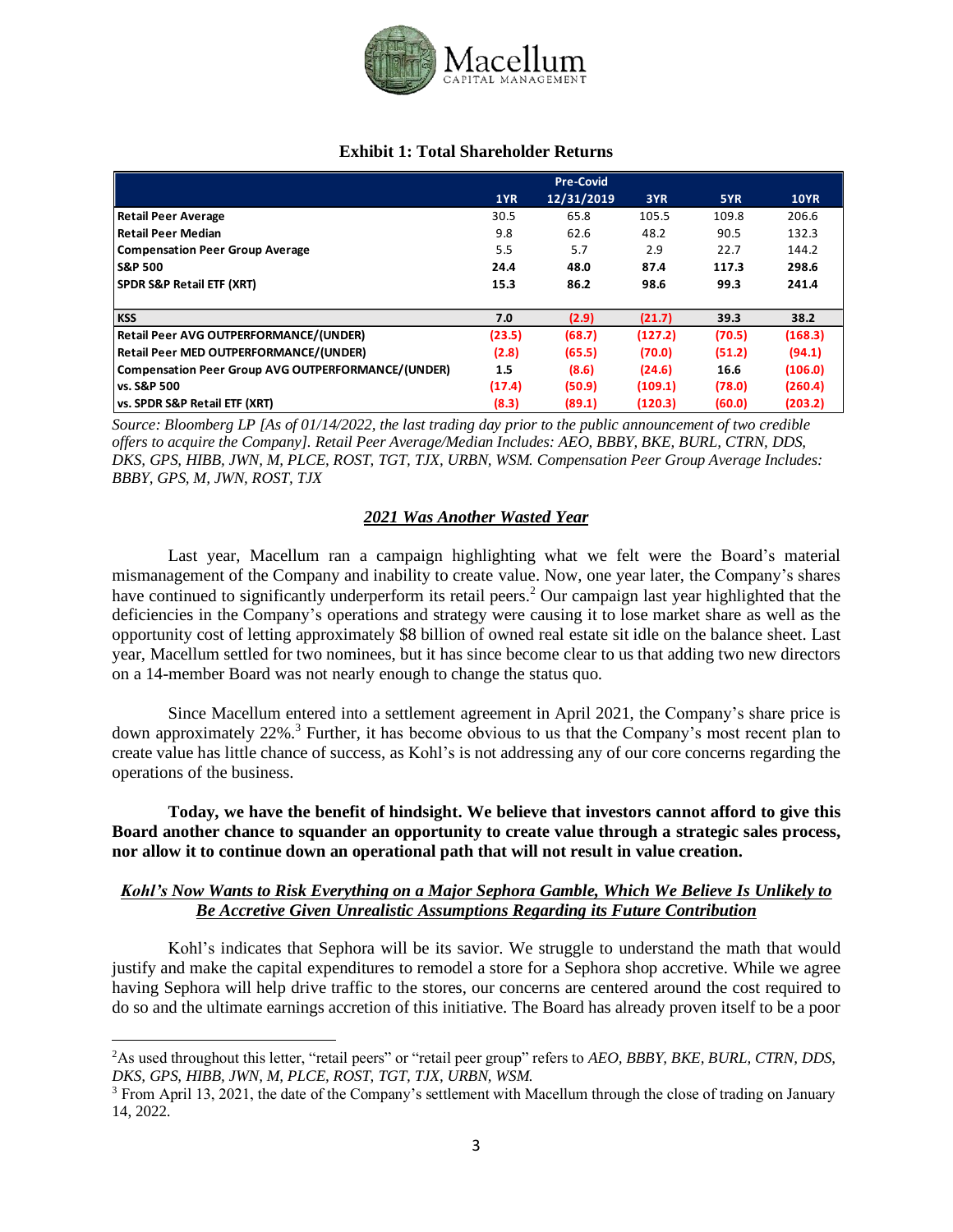

#### **Exhibit 1: Total Shareholder Returns**

|                                                           |        | <b>Pre-Covid</b> |         |        |             |
|-----------------------------------------------------------|--------|------------------|---------|--------|-------------|
|                                                           | 1YR    | 12/31/2019       | 3YR     | 5YR    | <b>10YR</b> |
| <b>Retail Peer Average</b>                                | 30.5   | 65.8             | 105.5   | 109.8  | 206.6       |
| <b>Retail Peer Median</b>                                 | 9.8    | 62.6             | 48.2    | 90.5   | 132.3       |
| <b>Compensation Peer Group Average</b>                    | 5.5    | 5.7              | 2.9     | 22.7   | 144.2       |
| <b>S&amp;P 500</b>                                        | 24.4   | 48.0             | 87.4    | 117.3  | 298.6       |
| <b>SPDR S&amp;P Retail ETF (XRT)</b>                      | 15.3   | 86.2             | 98.6    | 99.3   | 241.4       |
|                                                           |        |                  |         |        |             |
| <b>KSS</b>                                                | 7.0    | (2.9)            | (21.7)  | 39.3   | 38.2        |
| Retail Peer AVG OUTPERFORMANCE/(UNDER)                    | (23.5) | (68.7)           | (127.2) | (70.5) | (168.3)     |
| Retail Peer MED OUTPERFORMANCE/(UNDER)                    | (2.8)  | (65.5)           | (70.0)  | (51.2) | (94.1)      |
| <b>Compensation Peer Group AVG OUTPERFORMANCE/(UNDER)</b> | 1.5    | (8.6)            | (24.6)  | 16.6   | (106.0)     |
| vs. S&P 500                                               | (17.4) | (50.9)           | (109.1) | (78.0) | (260.4)     |
| vs. SPDR S&P Retail ETF (XRT)                             | (8.3)  | (89.1)           | (120.3) | (60.0) | (203.2)     |

*Source: Bloomberg LP [As of 01/14/2022, the last trading day prior to the public announcement of two credible offers to acquire the Company]. Retail Peer Average/Median Includes: AEO, BBBY, BKE, BURL, CTRN, DDS, DKS, GPS, HIBB, JWN, M, PLCE, ROST, TGT, TJX, URBN, WSM. Compensation Peer Group Average Includes: BBBY, GPS, M, JWN, ROST, TJX*

# *2021 Was Another Wasted Year*

Last year, Macellum ran a campaign highlighting what we felt were the Board's material mismanagement of the Company and inability to create value. Now, one year later, the Company's shares have continued to significantly underperform its retail peers.<sup>2</sup> Our campaign last year highlighted that the deficiencies in the Company's operations and strategy were causing it to lose market share as well as the opportunity cost of letting approximately \$8 billion of owned real estate sit idle on the balance sheet. Last year, Macellum settled for two nominees, but it has since become clear to us that adding two new directors on a 14-member Board was not nearly enough to change the status quo.

Since Macellum entered into a settlement agreement in April 2021, the Company's share price is down approximately 22%.<sup>3</sup> Further, it has become obvious to us that the Company's most recent plan to create value has little chance of success, as Kohl's is not addressing any of our core concerns regarding the operations of the business.

**Today, we have the benefit of hindsight. We believe that investors cannot afford to give this Board another chance to squander an opportunity to create value through a strategic sales process, nor allow it to continue down an operational path that will not result in value creation.**

# *Kohl's Now Wants to Risk Everything on a Major Sephora Gamble, Which We Believe Is Unlikely to Be Accretive Given Unrealistic Assumptions Regarding its Future Contribution*

Kohl's indicates that Sephora will be its savior. We struggle to understand the math that would justify and make the capital expenditures to remodel a store for a Sephora shop accretive. While we agree having Sephora will help drive traffic to the stores, our concerns are centered around the cost required to do so and the ultimate earnings accretion of this initiative. The Board has already proven itself to be a poor

<sup>2</sup>As used throughout this letter, "retail peers" or "retail peer group" refers to *AEO, BBBY, BKE, BURL, CTRN, DDS, DKS, GPS, HIBB, JWN, M, PLCE, ROST, TGT, TJX, URBN, WSM.*

<sup>3</sup> From April 13, 2021, the date of the Company's settlement with Macellum through the close of trading on January 14, 2022.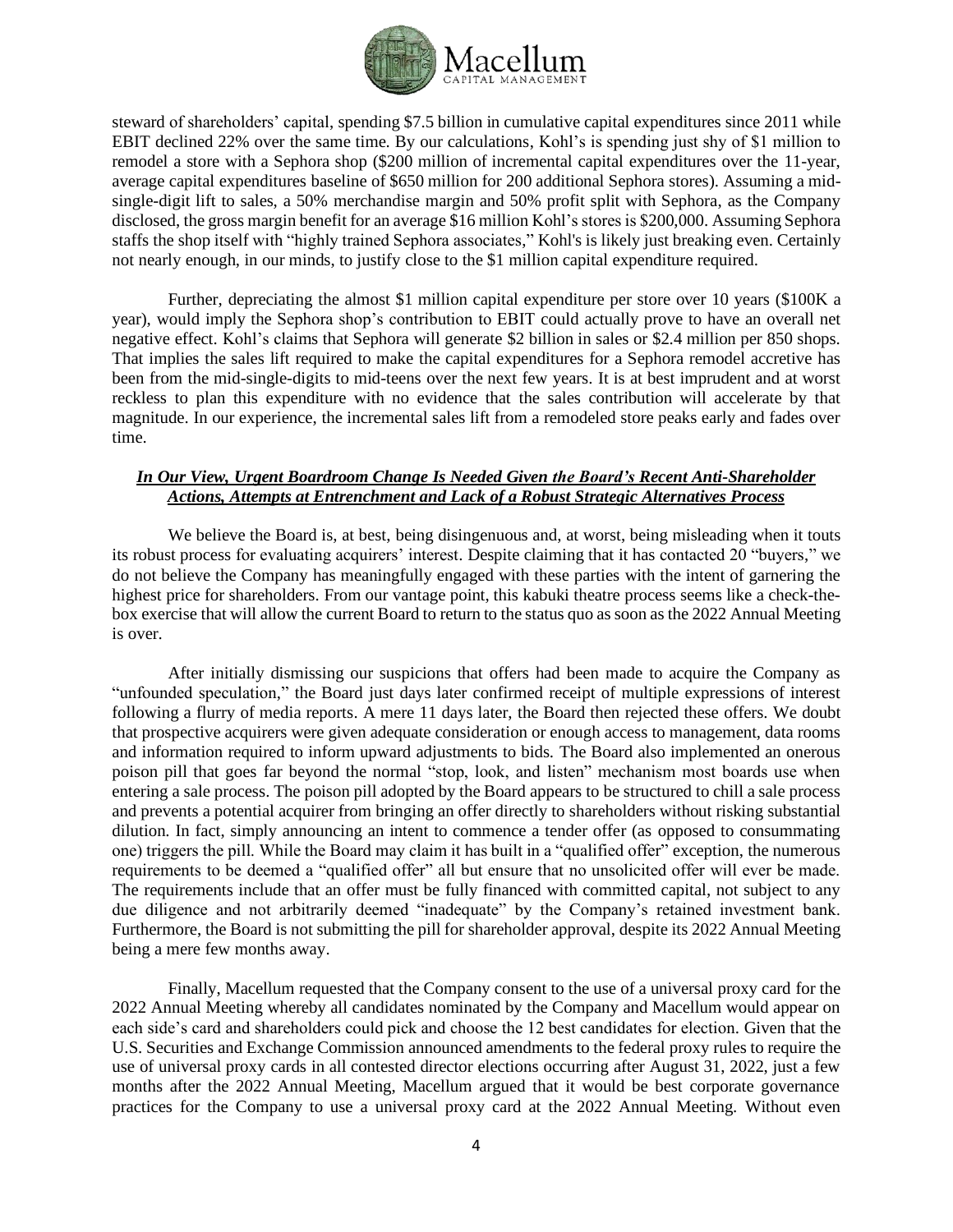

steward of shareholders' capital, spending \$7.5 billion in cumulative capital expenditures since 2011 while EBIT declined 22% over the same time. By our calculations, Kohl's is spending just shy of \$1 million to remodel a store with a Sephora shop (\$200 million of incremental capital expenditures over the 11-year, average capital expenditures baseline of \$650 million for 200 additional Sephora stores). Assuming a midsingle-digit lift to sales, a 50% merchandise margin and 50% profit split with Sephora, as the Company disclosed, the gross margin benefit for an average \$16 million Kohl's stores is \$200,000. Assuming Sephora staffs the shop itself with "highly trained Sephora associates," Kohl's is likely just breaking even. Certainly not nearly enough, in our minds, to justify close to the \$1 million capital expenditure required.

Further, depreciating the almost \$1 million capital expenditure per store over 10 years (\$100K a year), would imply the Sephora shop's contribution to EBIT could actually prove to have an overall net negative effect. Kohl's claims that Sephora will generate \$2 billion in sales or \$2.4 million per 850 shops. That implies the sales lift required to make the capital expenditures for a Sephora remodel accretive has been from the mid-single-digits to mid-teens over the next few years. It is at best imprudent and at worst reckless to plan this expenditure with no evidence that the sales contribution will accelerate by that magnitude. In our experience, the incremental sales lift from a remodeled store peaks early and fades over time.

### *In Our View, Urgent Boardroom Change Is Needed Given the Board's Recent Anti-Shareholder Actions, Attempts at Entrenchment and Lack of a Robust Strategic Alternatives Process*

We believe the Board is, at best, being disingenuous and, at worst, being misleading when it touts its robust process for evaluating acquirers' interest. Despite claiming that it has contacted 20 "buyers," we do not believe the Company has meaningfully engaged with these parties with the intent of garnering the highest price for shareholders. From our vantage point, this kabuki theatre process seems like a check-thebox exercise that will allow the current Board to return to the status quo as soon as the 2022 Annual Meeting is over.

After initially dismissing our suspicions that offers had been made to acquire the Company as "unfounded speculation," the Board just days later confirmed receipt of multiple expressions of interest following a flurry of media reports. A mere 11 days later, the Board then rejected these offers. We doubt that prospective acquirers were given adequate consideration or enough access to management, data rooms and information required to inform upward adjustments to bids. The Board also implemented an onerous poison pill that goes far beyond the normal "stop, look, and listen" mechanism most boards use when entering a sale process. The poison pill adopted by the Board appears to be structured to chill a sale process and prevents a potential acquirer from bringing an offer directly to shareholders without risking substantial dilution. In fact, simply announcing an intent to commence a tender offer (as opposed to consummating one) triggers the pill. While the Board may claim it has built in a "qualified offer" exception, the numerous requirements to be deemed a "qualified offer" all but ensure that no unsolicited offer will ever be made. The requirements include that an offer must be fully financed with committed capital, not subject to any due diligence and not arbitrarily deemed "inadequate" by the Company's retained investment bank. Furthermore, the Board is not submitting the pill for shareholder approval, despite its 2022 Annual Meeting being a mere few months away.

Finally, Macellum requested that the Company consent to the use of a universal proxy card for the 2022 Annual Meeting whereby all candidates nominated by the Company and Macellum would appear on each side's card and shareholders could pick and choose the 12 best candidates for election. Given that the U.S. Securities and Exchange Commission announced amendments to the federal proxy rules to require the use of universal proxy cards in all contested director elections occurring after August 31, 2022, just a few months after the 2022 Annual Meeting, Macellum argued that it would be best corporate governance practices for the Company to use a universal proxy card at the 2022 Annual Meeting. Without even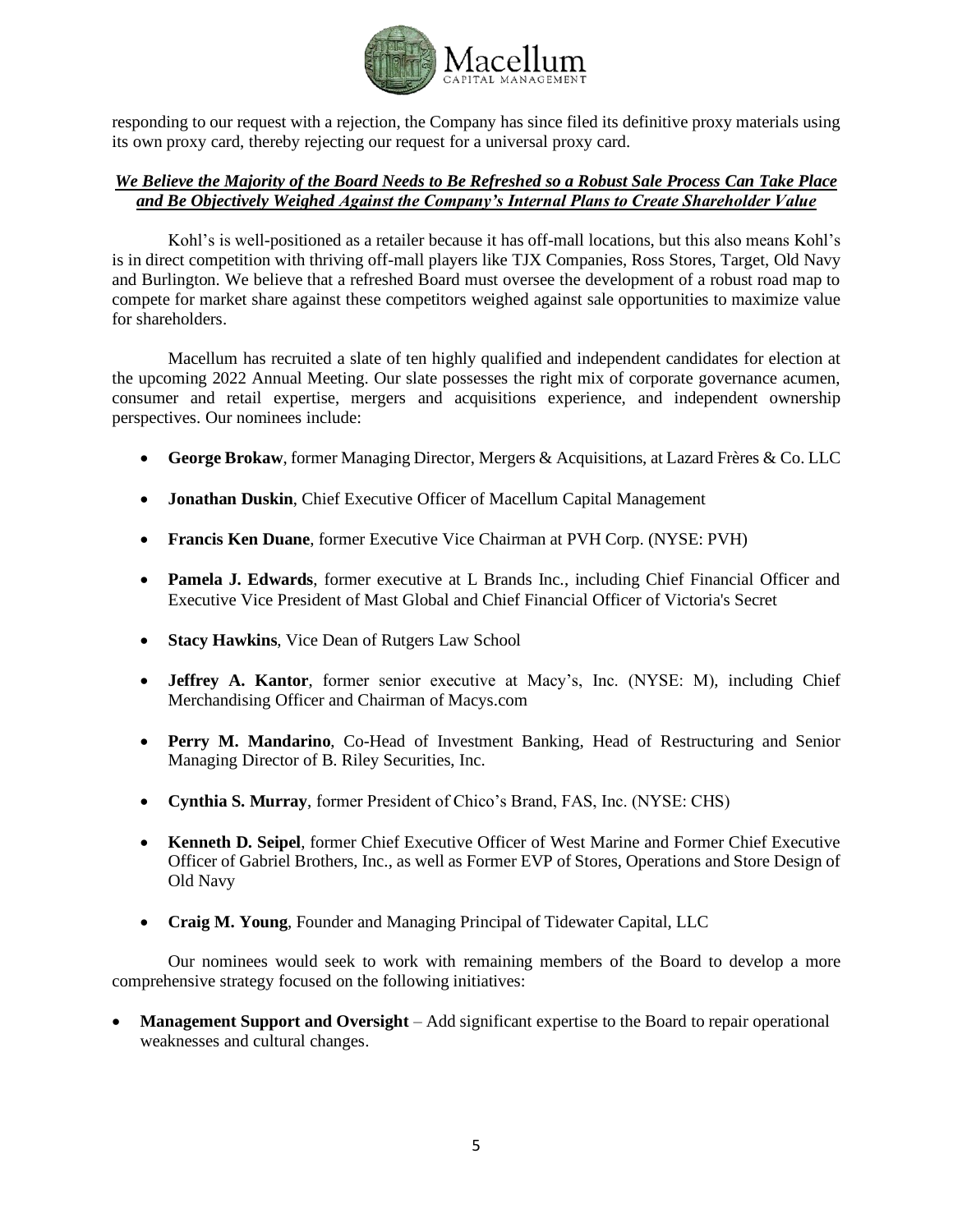

responding to our request with a rejection, the Company has since filed its definitive proxy materials using its own proxy card, thereby rejecting our request for a universal proxy card.

# *We Believe the Majority of the Board Needs to Be Refreshed so a Robust Sale Process Can Take Place and Be Objectively Weighed Against the Company's Internal Plans to Create Shareholder Value*

Kohl's is well-positioned as a retailer because it has off-mall locations, but this also means Kohl's is in direct competition with thriving off-mall players like TJX Companies, Ross Stores, Target, Old Navy and Burlington. We believe that a refreshed Board must oversee the development of a robust road map to compete for market share against these competitors weighed against sale opportunities to maximize value for shareholders.

Macellum has recruited a slate of ten highly qualified and independent candidates for election at the upcoming 2022 Annual Meeting. Our slate possesses the right mix of corporate governance acumen, consumer and retail expertise, mergers and acquisitions experience, and independent ownership perspectives. Our nominees include:

- **George Brokaw**, former Managing Director, Mergers & Acquisitions, at Lazard Frères & Co. LLC
- **Jonathan Duskin**, Chief Executive Officer of Macellum Capital Management
- **Francis Ken Duane**, former Executive Vice Chairman at PVH Corp. (NYSE: PVH)
- **Pamela J. Edwards**, former executive at L Brands Inc., including Chief Financial Officer and Executive Vice President of Mast Global and Chief Financial Officer of Victoria's Secret
- **Stacy Hawkins**, Vice Dean of Rutgers Law School
- **Jeffrey A. Kantor**, former senior executive at Macy's, Inc. (NYSE: M), including Chief Merchandising Officer and Chairman of Macys.com
- **Perry M. Mandarino**, Co-Head of Investment Banking, Head of Restructuring and Senior Managing Director of B. Riley Securities, Inc.
- **Cynthia S. Murray**, former President of Chico's Brand, FAS, Inc. (NYSE: CHS)
- **Kenneth D. Seipel**, former Chief Executive Officer of West Marine and Former Chief Executive Officer of Gabriel Brothers, Inc., as well as Former EVP of Stores, Operations and Store Design of Old Navy
- **Craig M. Young**, Founder and Managing Principal of Tidewater Capital, LLC

Our nominees would seek to work with remaining members of the Board to develop a more comprehensive strategy focused on the following initiatives:

**Management Support and Oversight** – Add significant expertise to the Board to repair operational weaknesses and cultural changes.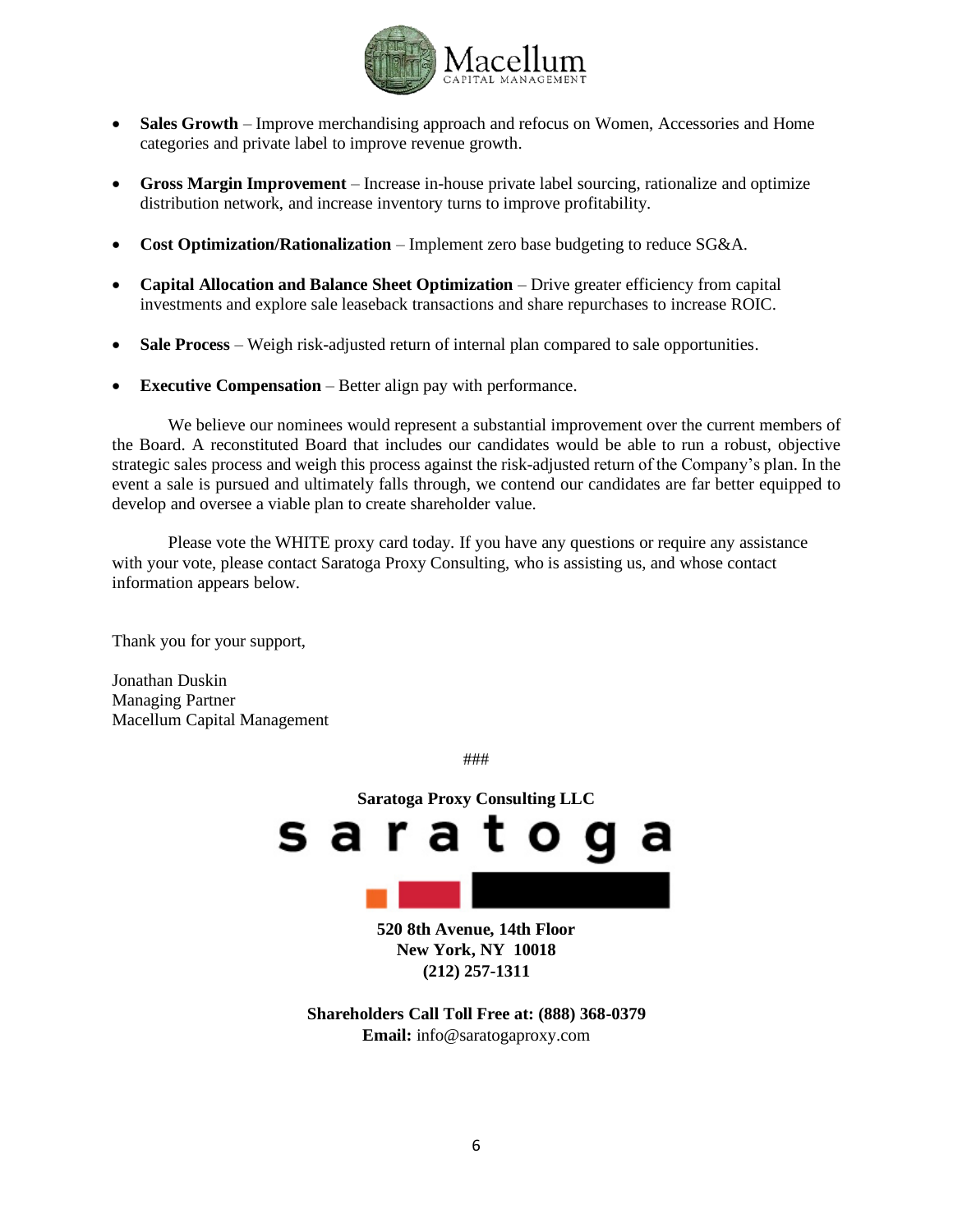

- **Sales Growth** Improve merchandising approach and refocus on Women, Accessories and Home categories and private label to improve revenue growth.
- **Gross Margin Improvement** Increase in-house private label sourcing, rationalize and optimize distribution network, and increase inventory turns to improve profitability.
- **Cost Optimization/Rationalization** Implement zero base budgeting to reduce SG&A.
- **Capital Allocation and Balance Sheet Optimization** Drive greater efficiency from capital investments and explore sale leaseback transactions and share repurchases to increase ROIC.
- **Sale Process** Weigh risk-adjusted return of internal plan compared to sale opportunities.
- **Executive Compensation** Better align pay with performance.

We believe our nominees would represent a substantial improvement over the current members of the Board. A reconstituted Board that includes our candidates would be able to run a robust, objective strategic sales process and weigh this process against the risk-adjusted return of the Company's plan. In the event a sale is pursued and ultimately falls through, we contend our candidates are far better equipped to develop and oversee a viable plan to create shareholder value.

Please vote the WHITE proxy card today. If you have any questions or require any assistance with your vote, please contact Saratoga Proxy Consulting, who is assisting us, and whose contact information appears below.

Thank you for your support,

Jonathan Duskin Managing Partner Macellum Capital Management

###



**520 8th Avenue, 14th Floor New York, NY 10018 (212) 257-1311**

**Shareholders Call Toll Free at: (888) 368-0379 Email:** info@saratogaproxy.com